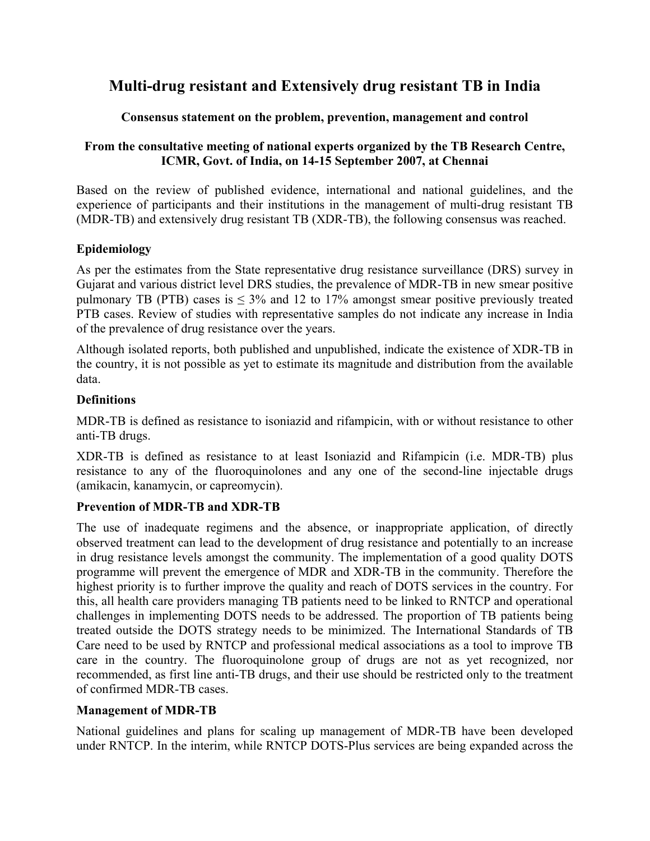# **Multi-drug resistant and Extensively drug resistant TB in India**

# **Consensus statement on the problem, prevention, management and control**

# **From the consultative meeting of national experts organized by the TB Research Centre, ICMR, Govt. of India, on 14-15 September 2007, at Chennai**

Based on the review of published evidence, international and national guidelines, and the experience of participants and their institutions in the management of multi-drug resistant TB (MDR-TB) and extensively drug resistant TB (XDR-TB), the following consensus was reached.

### **Epidemiology**

As per the estimates from the State representative drug resistance surveillance (DRS) survey in Gujarat and various district level DRS studies, the prevalence of MDR-TB in new smear positive pulmonary TB (PTB) cases is  $\leq 3\%$  and 12 to 17% amongst smear positive previously treated PTB cases. Review of studies with representative samples do not indicate any increase in India of the prevalence of drug resistance over the years.

Although isolated reports, both published and unpublished, indicate the existence of XDR-TB in the country, it is not possible as yet to estimate its magnitude and distribution from the available data.

### **Definitions**

MDR-TB is defined as resistance to isoniazid and rifampicin, with or without resistance to other anti-TB drugs.

XDR-TB is defined as resistance to at least Isoniazid and Rifampicin (i.e. MDR-TB) plus resistance to any of the fluoroquinolones and any one of the second-line injectable drugs (amikacin, kanamycin, or capreomycin).

### **Prevention of MDR-TB and XDR-TB**

The use of inadequate regimens and the absence, or inappropriate application, of directly observed treatment can lead to the development of drug resistance and potentially to an increase in drug resistance levels amongst the community. The implementation of a good quality DOTS programme will prevent the emergence of MDR and XDR-TB in the community. Therefore the highest priority is to further improve the quality and reach of DOTS services in the country. For this, all health care providers managing TB patients need to be linked to RNTCP and operational challenges in implementing DOTS needs to be addressed. The proportion of TB patients being treated outside the DOTS strategy needs to be minimized. The International Standards of TB Care need to be used by RNTCP and professional medical associations as a tool to improve TB care in the country. The fluoroquinolone group of drugs are not as yet recognized, nor recommended, as first line anti-TB drugs, and their use should be restricted only to the treatment of confirmed MDR-TB cases.

### **Management of MDR-TB**

National guidelines and plans for scaling up management of MDR-TB have been developed under RNTCP. In the interim, while RNTCP DOTS-Plus services are being expanded across the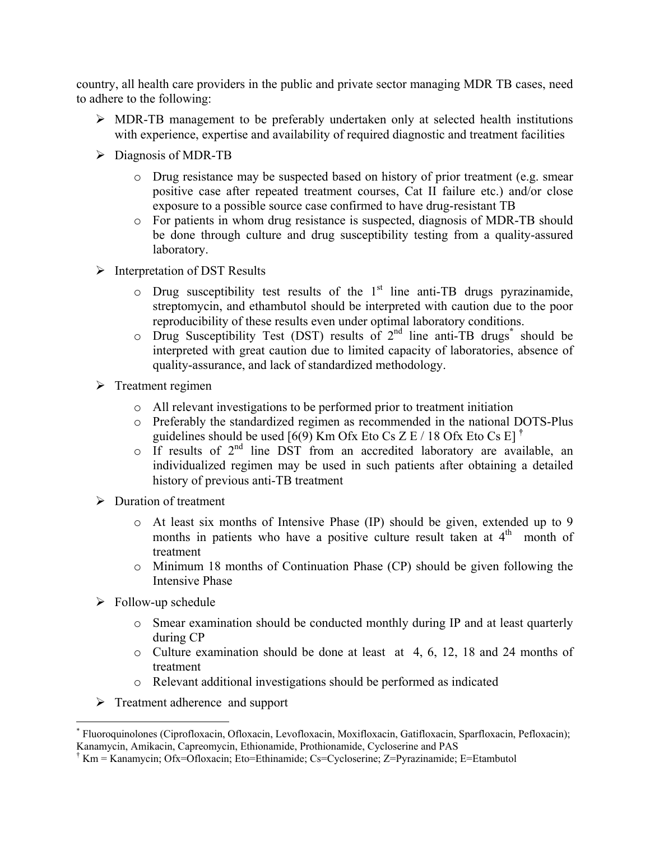country, all health care providers in the public and private sector managing MDR TB cases, need to adhere to the following:

- ¾ MDR-TB management to be preferably undertaken only at selected health institutions with experience, expertise and availability of required diagnostic and treatment facilities
- $\triangleright$  Diagnosis of MDR-TB
	- o Drug resistance may be suspected based on history of prior treatment (e.g. smear positive case after repeated treatment courses, Cat II failure etc.) and/or close exposure to a possible source case confirmed to have drug-resistant TB
	- o For patients in whom drug resistance is suspected, diagnosis of MDR-TB should be done through culture and drug susceptibility testing from a quality-assured laboratory.
- $\triangleright$  Interpretation of DST Results
	- $\circ$  Drug susceptibility test results of the 1<sup>st</sup> line anti-TB drugs pyrazinamide, streptomycin, and ethambutol should be interpreted with caution due to the poor reproducibility of these results even under optimal laboratory conditions.
	- o Drug Susceptibility Test (DST) results of 2nd line anti-TB drugs**\*** should be interpreted with great caution due to limited capacity of laboratories, absence of quality-assurance, and lack of standardized methodology.
- $\triangleright$  Treatment regimen
	- o All relevant investigations to be performed prior to treatment initiation
	- o Preferably the standardized regimen as recommended in the national DOTS-Plus guidelines should be used [6(9) Km Ofx Eto Cs Z E / 18 Ofx Eto Cs E] **†**
	- $\circ$  If results of 2<sup>nd</sup> line DST from an accredited laboratory are available, an individualized regimen may be used in such patients after obtaining a detailed history of previous anti-TB treatment
- $\triangleright$  Duration of treatment
	- o At least six months of Intensive Phase (IP) should be given, extended up to 9 months in patients who have a positive culture result taken at  $4<sup>th</sup>$  month of treatment
	- o Minimum 18 months of Continuation Phase (CP) should be given following the Intensive Phase
- $\triangleright$  Follow-up schedule

1

- o Smear examination should be conducted monthly during IP and at least quarterly during CP
- o Culture examination should be done at least at 4, 6, 12, 18 and 24 months of treatment
- o Relevant additional investigations should be performed as indicated
- $\triangleright$  Treatment adherence and support

<sup>\*</sup> Fluoroquinolones (Ciprofloxacin, Ofloxacin, Levofloxacin, Moxifloxacin, Gatifloxacin, Sparfloxacin, Pefloxacin); Kanamycin, Amikacin, Capreomycin, Ethionamide, Prothionamide, Cycloserine and PAS

<sup>†</sup> Km = Kanamycin; Ofx=Ofloxacin; Eto=Ethinamide; Cs=Cycloserine; Z=Pyrazinamide; E=Etambutol